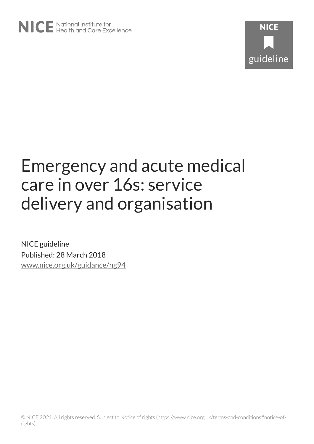

# Emergency and acute medical care in over 16s: service delivery and organisation

NICE guideline Published: 28 March 2018 [www.nice.org.uk/guidance/ng94](https://www.nice.org.uk/guidance/ng94)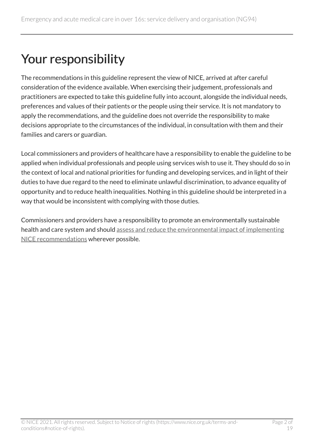# Your responsibility

The recommendations in this guideline represent the view of NICE, arrived at after careful consideration of the evidence available. When exercising their judgement, professionals and practitioners are expected to take this guideline fully into account, alongside the individual needs, preferences and values of their patients or the people using their service. It is not mandatory to apply the recommendations, and the guideline does not override the responsibility to make decisions appropriate to the circumstances of the individual, in consultation with them and their families and carers or guardian.

Local commissioners and providers of healthcare have a responsibility to enable the guideline to be applied when individual professionals and people using services wish to use it. They should do so in the context of local and national priorities for funding and developing services, and in light of their duties to have due regard to the need to eliminate unlawful discrimination, to advance equality of opportunity and to reduce health inequalities. Nothing in this guideline should be interpreted in a way that would be inconsistent with complying with those duties.

Commissioners and providers have a responsibility to promote an environmentally sustainable health and care system and should [assess and reduce the environmental impact of implementing](https://www.nice.org.uk/about/who-we-are/sustainability)  [NICE recommendations](https://www.nice.org.uk/about/who-we-are/sustainability) wherever possible.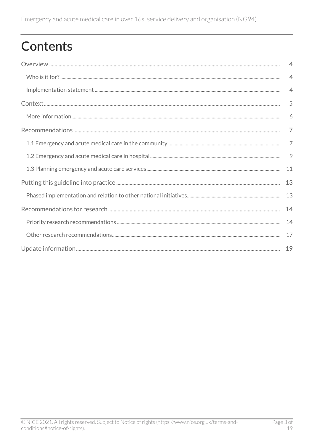# Contents

| $\overline{4}$ |
|----------------|
| $\overline{4}$ |
| $\overline{4}$ |
| 5              |
| 6              |
| $\overline{7}$ |
| $\overline{7}$ |
| 9              |
| 11             |
| 13             |
| 13             |
| 14             |
| 14             |
| 17             |
|                |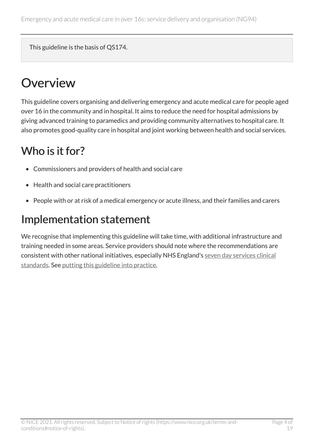This guideline is the basis of QS174.

# <span id="page-3-0"></span>**Overview**

This guideline covers organising and delivering emergency and acute medical care for people aged over 16 in the community and in hospital. It aims to reduce the need for hospital admissions by giving advanced training to paramedics and providing community alternatives to hospital care. It also promotes good-quality care in hospital and joint working between health and social services.

# <span id="page-3-1"></span>Who is it for?

- Commissioners and providers of health and social care
- Health and social care practitioners
- People with or at risk of a medical emergency or acute illness, and their families and carers

# <span id="page-3-2"></span>Implementation statement

We recognise that implementing this guideline will take time, with additional infrastructure and training needed in some areas. Service providers should note where the recommendations are consistent with other national initiatives, especially NHS England's [seven day services clinical](https://www.england.nhs.uk/publication/seven-day-services-clinical-standards/) [standards.](https://www.england.nhs.uk/publication/seven-day-services-clinical-standards/) See [putting this guideline into practice](#page-12-0).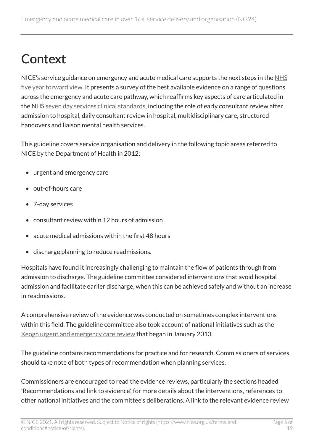# <span id="page-4-0"></span>**Context**

NICE's service guidance on emergency and acute medical care supports the next steps in the [NHS](https://www.england.nhs.uk/five-year-forward-view/) [five year forward view](https://www.england.nhs.uk/five-year-forward-view/). It presents a survey of the best available evidence on a range of questions across the emergency and acute care pathway, which reaffirms key aspects of care articulated in the NHS [seven day services clinical standards,](https://www.england.nhs.uk/publication/seven-day-services-clinical-standards/) including the role of early consultant review after admission to hospital, daily consultant review in hospital, multidisciplinary care, structured handovers and liaison mental health services.

This guideline covers service organisation and delivery in the following topic areas referred to NICE by the Department of Health in 2012:

- urgent and emergency care
- out-of-hours care
- 7-day services
- consultant review within 12 hours of admission
- acute medical admissions within the first 48 hours
- discharge planning to reduce readmissions.

Hospitals have found it increasingly challenging to maintain the flow of patients through from admission to discharge. The guideline committee considered interventions that avoid hospital admission and facilitate earlier discharge, when this can be achieved safely and without an increase in readmissions.

A comprehensive review of the evidence was conducted on sometimes complex interventions within this field. The guideline committee also took account of national initiatives such as the [Keogh urgent and emergency care review](http://www.nhs.uk/NHSEngland/keogh-review/Pages/urgent-and-emergency-care-review.aspx) that began in January 2013.

The guideline contains recommendations for practice and for research. Commissioners of services should take note of both types of recommendation when planning services.

Commissioners are encouraged to read the evidence reviews, particularly the sections headed 'Recommendations and link to evidence', for more details about the interventions, references to other national initiatives and the committee's deliberations. A link to the relevant evidence review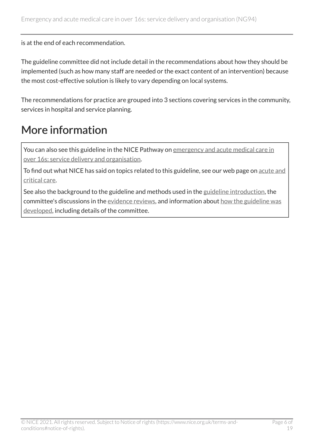is at the end of each recommendation.

The guideline committee did not include detail in the recommendations about how they should be implemented (such as how many staff are needed or the exact content of an intervention) because the most cost-effective solution is likely to vary depending on local systems.

The recommendations for practice are grouped into 3 sections covering services in the community, services in hospital and service planning.

# <span id="page-5-0"></span>More information

You can also see this guideline in the NICE Pathway on emergency and acute medical care in [over 16s: service delivery and organisation.](https://pathways.nice.org.uk/pathways/emergency-and-acute-medical-care-in-over-16s-service-delivery-and-organisation)

To find out what NICE has said on topics related to this guideline, see our web page on [acute and](https://www.nice.org.uk/guidance/service-delivery--organisation-and-staffing/acute-and-critical-care)  [critical care](https://www.nice.org.uk/guidance/service-delivery--organisation-and-staffing/acute-and-critical-care).

See also the background to the guideline and methods used in the [guideline introduction,](https://www.nice.org.uk/guidance/ng94/evidence/01.-guideline-introduction-pdf-4788818462) the committee's discussions in the [evidence reviews](http://www.nice.org.uk/Guidance/ng94/evidence), and information about [how the guideline was](http://www.nice.org.uk/Guidance/NG94/documents)  [developed,](http://www.nice.org.uk/Guidance/NG94/documents) including details of the committee.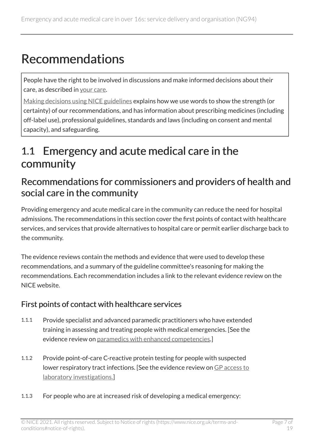# <span id="page-6-0"></span>Recommendations

People have the right to be involved in discussions and make informed decisions about their care, as described in [your care.](http://www.nice.org.uk/about/nice-communities/public-involvement/your-care)

[Making decisions using NICE guidelines](http://www.nice.org.uk/about/what-we-do/our-programmes/nice-guidance/nice-guidelines/using-NICE-guidelines-to-make-decisions) explains how we use words to show the strength (or certainty) of our recommendations, and has information about prescribing medicines (including off-label use), professional guidelines, standards and laws (including on consent and mental capacity), and safeguarding.

# <span id="page-6-1"></span>1.1 Emergency and acute medical care in the community

### Recommendations for commissioners and providers of health and social care in the community

Providing emergency and acute medical care in the community can reduce the need for hospital admissions. The recommendations in this section cover the first points of contact with healthcare services, and services that provide alternatives to hospital care or permit earlier discharge back to the community.

The evidence reviews contain the methods and evidence that were used to develop these recommendations, and a summary of the guideline committee's reasoning for making the recommendations. Each recommendation includes a link to the relevant evidence review on the NICE website.

#### First points of contact with healthcare services

- 1.1.1 Provide specialist and advanced paramedic practitioners who have extended training in assessing and treating people with medical emergencies. [See the evidence review on [paramedics with enhanced competencies](https://www.nice.org.uk/guidance/ng94/evidence/03.paramedics-with-enhanced-competencies-pdf-4788818464).]
- 1.1.2 Provide point-of-care C-reactive protein testing for people with suspected lower respiratory tract infections. [See the evidence review on [GP access to](https://www.nice.org.uk/guidance/ng94/evidence/07.gp-access-to-laboratory-investigations-pdf-4788818468) [laboratory investigations.](https://www.nice.org.uk/guidance/ng94/evidence/07.gp-access-to-laboratory-investigations-pdf-4788818468)]
- 1.1.3 For people who are at increased risk of developing a medical emergency: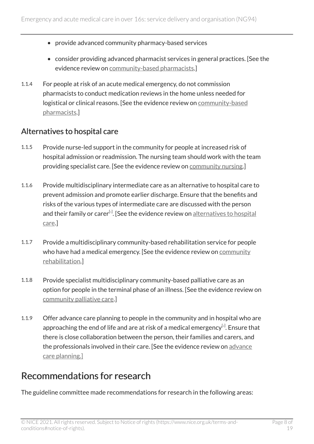- provide advanced community pharmacy-based services
- consider providing advanced pharmacist services in general practices. [See the evidence review on [community-based pharmacists.](https://www.nice.org.uk/guidance/ng94/evidence/10.communitybased-pharmacists-pdf-172397464597)]
- 1.1.4 For people at risk of an acute medical emergency, do not commission pharmacists to conduct medication reviews in the home unless needed for logistical or clinical reasons. [See the evidence review on [community-based](https://www.nice.org.uk/guidance/ng94/evidence/10.communitybased-pharmacists-pdf-172397464597)  [pharmacists.](https://www.nice.org.uk/guidance/ng94/evidence/10.communitybased-pharmacists-pdf-172397464597)]

#### Alternatives to hospital care

- 1.1.5 Provide nurse-led support in the community for people at increased risk of hospital admission or readmission. The nursing team should work with the team providing specialist care. [See the evidence review on [community nursing](https://www.nice.org.uk/guidance/ng94/evidence/09.community-nursing-pdf-172397464596).]
- 1.1.6 Provide multidisciplinary intermediate care as an alternative to hospital care to prevent admission and promote earlier discharge. Ensure that the benefits and risks of the various types of intermediate care are discussed with the person and their family or carer<sup>[[1](#page-11-0)]</sup>. [See the evidence review on <u>[alternatives to hospital](https://www.nice.org.uk/guidance/ng94/evidence/12.alternatives-to-hospital-care-pdf-172397464599)</u> [care](https://www.nice.org.uk/guidance/ng94/evidence/12.alternatives-to-hospital-care-pdf-172397464599).]
- <span id="page-7-0"></span>1.1.7 Provide a multidisciplinary community-based rehabilitation service for people who have had a medical emergency. [See the evidence review on [community](https://www.nice.org.uk/guidance/ng94/evidence/13.community-rehabilitation-pdf-172397464600) [rehabilitation.](https://www.nice.org.uk/guidance/ng94/evidence/13.community-rehabilitation-pdf-172397464600)]
- 1.1.8 Provide specialist multidisciplinary community-based palliative care as an option for people in the terminal phase of an illness. [See the evidence review on [community palliative care.](https://www.nice.org.uk/guidance/ng94/evidence/14.community-palliative-care-pdf-172397464601)]
- <span id="page-7-1"></span>1.1.9 Offer advance care planning to people in the community and in hospital who are approaching the end of life and are at risk of a medical emergency $^{[z]}.$  Ensure that there is close collaboration between the person, their families and carers, and the professionals involved in their care. [See the evidence review on [advance](https://www.nice.org.uk/guidance/ng94/evidence/15.advance-care-planning-pdf-172397464602) [care planning.\]](https://www.nice.org.uk/guidance/ng94/evidence/15.advance-care-planning-pdf-172397464602)

### Recommendations for research

The guideline committee made recommendations for research in the following areas: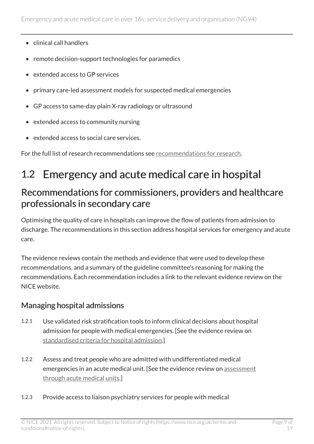- clinical call handlers
- remote decision-support technologies for paramedics
- extended access to GP services
- primary care-led assessment models for suspected medical emergencies
- GP access to same-day plain X-ray radiology or ultrasound
- extended access to community nursing
- extended access to social care services.

For the full list of research recommendations see [recommendations for research.](#page-13-0)

# <span id="page-8-0"></span>1.2 Emergency and acute medical care in hospital

### Recommendations for commissioners, providers and healthcare professionals in secondary care

Optimising the quality of care in hospitals can improve the flow of patients from admission to discharge. The recommendations in this section address hospital services for emergency and acute care.

The evidence reviews contain the methods and evidence that were used to develop these recommendations, and a summary of the guideline committee's reasoning for making the recommendations. Each recommendation includes a link to the relevant evidence review on the NICE website.

#### Managing hospital admissions

- 1.2.1 Use validated risk stratification tools to inform clinical decisions about hospital admission for people with medical emergencies. [See the evidence review on [standardised criteria for hospital admission.](https://www.nice.org.uk/guidance/ng94/evidence/21.standardised-criteria-for-hospital-admission-pdf-172397464634)]
- 1.2.2 Assess and treat people who are admitted with undifferentiated medical emergencies in an acute medical unit. [See the evidence review on [assessment](https://www.nice.org.uk/guidance/ng94/evidence/24.assessment-through-acute-medical-units-pdf-172397464637) [through acute medical units](https://www.nice.org.uk/guidance/ng94/evidence/24.assessment-through-acute-medical-units-pdf-172397464637).]
- 1.2.3 Provide access to liaison psychiatry services for people with medical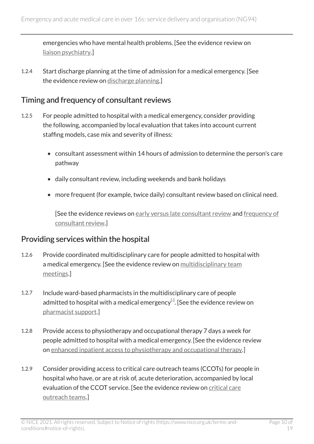emergencies who have mental health problems. [See the evidence review on [liaison psychiatry](https://www.nice.org.uk/guidance/ng94/evidence/23.liaison-psychiatry-pdf-172397464636).]

1.2.4 Start discharge planning at the time of admission for a medical emergency. [See the evidence review on [discharge planning.](https://www.nice.org.uk/guidance/ng94/evidence/35.discharge-planning-pdf-172397464674)]

#### Timing and frequency of consultant reviews

- 1.2.5 For people admitted to hospital with a medical emergency, consider providing the following, accompanied by local evaluation that takes into account current staffing models, case mix and severity of illness:
	- consultant assessment within 14 hours of admission to determine the person's care pathway
	- daily consultant review, including weekends and bank holidays
	- more frequent (for example, twice daily) consultant review based on clinical need.

[See the evidence reviews on [early versus late consultant review](https://www.nice.org.uk/guidance/ng94/evidence/19.early-versus-late-consultant-review-pdf-172397464632) and [frequency of](https://www.nice.org.uk/guidance/ng94/evidence/26.frequency-of-consultant-review-pdf-172397464639)  [consultant review](https://www.nice.org.uk/guidance/ng94/evidence/26.frequency-of-consultant-review-pdf-172397464639).]

#### Providing services within the hospital

- 1.2.6 Provide coordinated multidisciplinary care for people admitted to hospital with a medical emergency. [See the evidence review on multidisciplinary team [meetings](https://www.nice.org.uk/guidance/ng94/evidence/29.multidisciplinary-team-meetings-pdf-172397464668).]
- <span id="page-9-0"></span>1.2.7 Include ward-based pharmacists in the multidisciplinary care of people admitted to hospital with a medical emergency $^{\text{\tiny{[3]}}}$  $^{\text{\tiny{[3]}}}$  $^{\text{\tiny{[3]}}}$ . [See the evidence review on [pharmacist support](https://www.nice.org.uk/guidance/ng94/evidence/30.pharmacist-support-pdf-172397464669).]
- 1.2.8 Provide access to physiotherapy and occupational therapy 7 days a week for people admitted to hospital with a medical emergency. [See the evidence review on [enhanced inpatient access to physiotherapy and occupational therapy](https://www.nice.org.uk/guidance/ng94/evidence/31.enhanced-inpatient-access-to-physiotherapy-and-occupational-therapy-pdf-172397464670).]
- 1.2.9 Consider providing access to critical care outreach teams (CCOTs) for people in hospital who have, or are at risk of, acute deterioration, accompanied by local evaluation of the CCOT service. [See the evidence review on critical care [outreach teams.](https://www.nice.org.uk/guidance/ng94/evidence/27.critical-care-outreach-teams-pdf-172397464640)]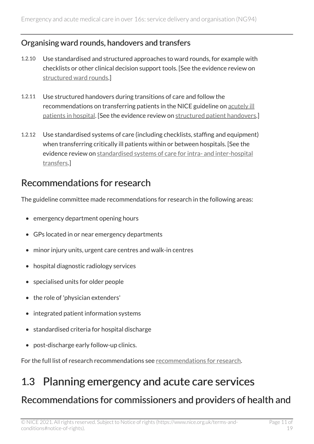#### Organising ward rounds, handovers and transfers

- 1.2.10 Use standardised and structured approaches to ward rounds, for example with checklists or other clinical decision support tools. [See the evidence review on [structured ward rounds](https://www.nice.org.uk/guidance/ng94/evidence/28.structured-ward-rounds-pdf-172397464641).]
- 1.2.11 Use structured handovers during transitions of care and follow the recommendations on transferring patients in the NICE guideline on [acutely ill](http://www.nice.org.uk/guidance/cg50)  [patients in hospital](http://www.nice.org.uk/guidance/cg50). [See the evidence review on [structured patient handovers.](https://www.nice.org.uk/guidance/ng94/evidence/32.structured-patient-handovers-pdf-172397464671)]
- 1.2.12 Use standardised systems of care (including checklists, staffing and equipment) when transferring critically ill patients within or between hospitals. [See the evidence review on [standardised systems of care for intra- and inter-hospital](https://www.nice.org.uk/guidance/ng94/evidence/34.standardised-systems-of-care-for-intra-and-interhospital-transfers-pdf-172397464673)  [transfers.](https://www.nice.org.uk/guidance/ng94/evidence/34.standardised-systems-of-care-for-intra-and-interhospital-transfers-pdf-172397464673)]

### Recommendations for research

The guideline committee made recommendations for research in the following areas:

- emergency department opening hours
- GPs located in or near emergency departments
- minor injury units, urgent care centres and walk-in centres
- hospital diagnostic radiology services
- specialised units for older people
- the role of 'physician extenders'
- integrated patient information systems
- standardised criteria for hospital discharge
- post-discharge early follow-up clinics.

For the full list of research recommendations see [recommendations for research.](#page-13-0)

# <span id="page-10-0"></span>1.3 Planning emergency and acute care services Recommendations for commissioners and providers of health and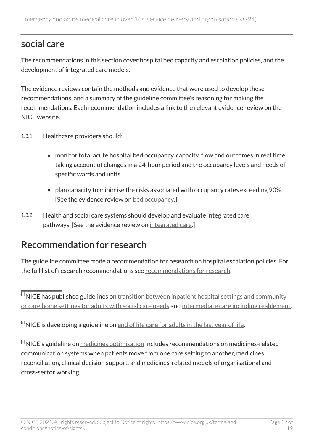## social care

The recommendations in this section cover hospital bed capacity and escalation policies, and the development of integrated care models.

The evidence reviews contain the methods and evidence that were used to develop these recommendations, and a summary of the guideline committee's reasoning for making the recommendations. Each recommendation includes a link to the relevant evidence review on the NICE website.

- 1.3.1 Healthcare providers should:
	- monitor total acute hospital bed occupancy, capacity, flow and outcomes in real time, taking account of changes in a 24-hour period and the occupancy levels and needs of specific wards and units
	- plan capacity to minimise the risks associated with occupancy rates exceeding 90%. [See the evidence review on [bed occupancy.](https://www.nice.org.uk/guidance/ng94/evidence/39.bed-occupancy-pdf-172397464704)]
- 1.3.2 Health and social care systems should develop and evaluate integrated care pathways. [See the evidence review on [integrated care.](https://www.nice.org.uk/guidance/ng94/evidence/38.integrated-care-pdf-172397464677)]

### Recommendation for research

The guideline committee made a recommendation for research on hospital escalation policies. For the full list of research recommendations see [recommendations for research.](#page-13-0)

<span id="page-11-0"></span> $\overline{14}$  $\overline{14}$  $\overline{14}$  NICE has published guidelines on [transition between inpatient hospital settings and community](http://www.nice.org.uk/guidance/ng27) [or care home settings for adults with social care needs](http://www.nice.org.uk/guidance/ng27) and [intermediate care including reablement](http://www.nice.org.uk/guidance/ng74).

<span id="page-11-1"></span> $[2]$  $[2]$  $[2]$  NICE is developing a guideline on  $end$  of life care for adults in the last year of life</u>.

<span id="page-11-2"></span>[[3](#page-9-0)] NICE's guideline on [medicines optimisation](https://www.nice.org.uk/guidance/ng5/chapter/1-Recommendations) includes recommendations on medicines-related communication systems when patients move from one care setting to another, medicines reconciliation, clinical decision support, and medicines-related models of organisational and cross-sector working.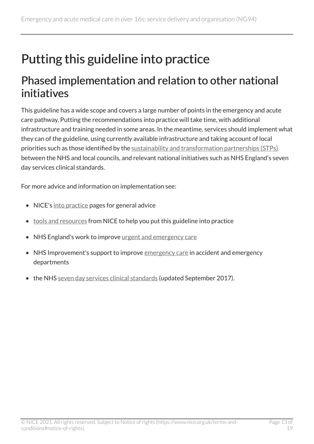# <span id="page-12-0"></span>Putting this guideline into practice

# <span id="page-12-1"></span>Phased implementation and relation to other national initiatives

This guideline has a wide scope and covers a large number of points in the emergency and acute care pathway. Putting the recommendations into practice will take time, with additional infrastructure and training needed in some areas. In the meantime, services should implement what they can of the guideline, using currently available infrastructure and taking account of local priorities such as those identified by the [sustainability and transformation partnerships \(STPs\)](https://www.england.nhs.uk/stps/) between the NHS and local councils, and relevant national initiatives such as NHS England's seven day services clinical standards.

For more advice and information on implementation see:

- NICE's [into practice](https://www.nice.org.uk/about/what-we-do/into-practice) pages for general advice
- [tools and resources](https://www.nice.org.uk/guidance/ng94/resources) from NICE to help you put this guideline into practice
- NHS England's work to improve [urgent and emergency care](https://www.england.nhs.uk/urgent-emergency-care/)
- NHS Improvement's support to improve [emergency care](https://improvement.nhs.uk/improvement-hub/emergency-care/) in accident and emergency departments
- the NHS [seven day services clinical standards](https://www.england.nhs.uk/publication/seven-day-services-clinical-standards/) (updated September 2017).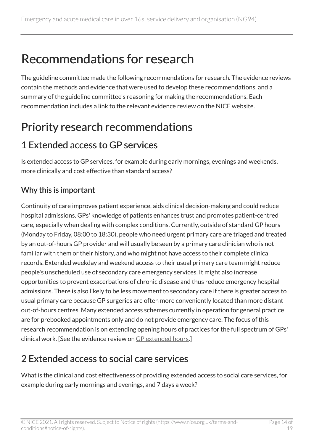# <span id="page-13-0"></span>Recommendations for research

The guideline committee made the following recommendations for research. The evidence reviews contain the methods and evidence that were used to develop these recommendations, and a summary of the guideline committee's reasoning for making the recommendations. Each recommendation includes a link to the relevant evidence review on the NICE website.

# <span id="page-13-1"></span>Priority research recommendations

# 1 Extended access to GP services

Is extended access to GP services, for example during early mornings, evenings and weekends, more clinically and cost effective than standard access?

#### Why this is important

Continuity of care improves patient experience, aids clinical decision-making and could reduce hospital admissions. GPs' knowledge of patients enhances trust and promotes patient-centred care, especially when dealing with complex conditions. Currently, outside of standard GP hours (Monday to Friday, 08:00 to 18:30), people who need urgent primary care are triaged and treated by an out-of-hours GP provider and will usually be seen by a primary care clinician who is not familiar with them or their history, and who might not have access to their complete clinical records. Extended weekday and weekend access to their usual primary care team might reduce people's unscheduled use of secondary care emergency services. It might also increase opportunities to prevent exacerbations of chronic disease and thus reduce emergency hospital admissions. There is also likely to be less movement to secondary care if there is greater access to usual primary care because GP surgeries are often more conveniently located than more distant out-of-hours centres. Many extended access schemes currently in operation for general practice are for prebooked appointments only and do not provide emergency care. The focus of this research recommendation is on extending opening hours of practices for the full spectrum of GPs' clinical work. [See the evidence review on [GP extended hours.](https://www.nice.org.uk/guidance/ng94/evidence/05.gp-extended-hours-pdf-4788818466)]

# 2 Extended access to social care services

What is the clinical and cost effectiveness of providing extended access to social care services, for example during early mornings and evenings, and 7 days a week?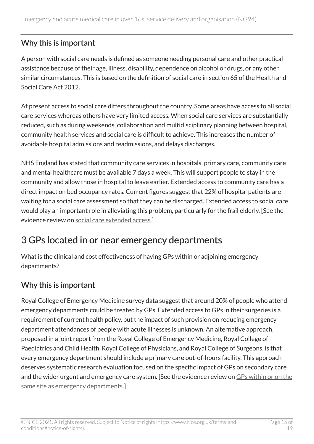#### Why this is important

A person with social care needs is defined as someone needing personal care and other practical assistance because of their age, illness, disability, dependence on alcohol or drugs, or any other similar circumstances. This is based on the definition of social care in section 65 of the Health and Social Care Act 2012.

At present access to social care differs throughout the country. Some areas have access to all social care services whereas others have very limited access. When social care services are substantially reduced, such as during weekends, collaboration and multidisciplinary planning between hospital, community health services and social care is difficult to achieve. This increases the number of avoidable hospital admissions and readmissions, and delays discharges.

NHS England has stated that community care services in hospitals, primary care, community care and mental healthcare must be available 7 days a week. This will support people to stay in the community and allow those in hospital to leave earlier. Extended access to community care has a direct impact on bed occupancy rates. Current figures suggest that 22% of hospital patients are waiting for a social care assessment so that they can be discharged. Extended access to social care would play an important role in alleviating this problem, particularly for the frail elderly. [See the evidence review on [social care extended access](https://www.nice.org.uk/guidance/ng94/evidence/11.social-care-extended-access-pdf-172397464598).]

## 3 GPs located in or near emergency departments

What is the clinical and cost effectiveness of having GPs within or adjoining emergency departments?

#### Why this is important

Royal College of Emergency Medicine survey data suggest that around 20% of people who attend emergency departments could be treated by GPs. Extended access to GPs in their surgeries is a requirement of current health policy, but the impact of such provision on reducing emergency department attendances of people with acute illnesses is unknown. An alternative approach, proposed in a joint report from the Royal College of Emergency Medicine, Royal College of Paediatrics and Child Health, Royal College of Physicians, and Royal College of Surgeons, is that every emergency department should include a primary care out-of-hours facility. This approach deserves systematic research evaluation focused on the specific impact of GPs on secondary care and the wider urgent and emergency care system. [See the evidence review on [GPs within or on the](https://www.nice.org.uk/guidance/ng94/evidence/17.gps-within-or-on-the-same-site-as-emergency-departments-pdf-172397464604) [same site as emergency departments.](https://www.nice.org.uk/guidance/ng94/evidence/17.gps-within-or-on-the-same-site-as-emergency-departments-pdf-172397464604)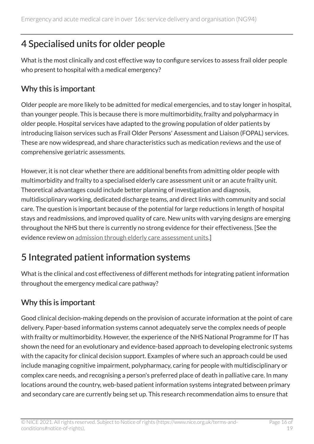# 4 Specialised units for older people

What is the most clinically and cost effective way to configure services to assess frail older people who present to hospital with a medical emergency?

#### Why this is important

Older people are more likely to be admitted for medical emergencies, and to stay longer in hospital, than younger people. This is because there is more multimorbidity, frailty and polypharmacy in older people. Hospital services have adapted to the growing population of older patients by introducing liaison services such as Frail Older Persons' Assessment and Liaison (FOPAL) services. These are now widespread, and share characteristics such as medication reviews and the use of comprehensive geriatric assessments.

However, it is not clear whether there are additional benefits from admitting older people with multimorbidity and frailty to a specialised elderly care assessment unit or an acute frailty unit. Theoretical advantages could include better planning of investigation and diagnosis, multidisciplinary working, dedicated discharge teams, and direct links with community and social care. The question is important because of the potential for large reductions in length of hospital stays and readmissions, and improved quality of care. New units with varying designs are emerging throughout the NHS but there is currently no strong evidence for their effectiveness. [See the evidence review on [admission through elderly care assessment units.](https://www.nice.org.uk/guidance/ng94/evidence/25.admission-through-elderly-care-assessment-units-pdf-172397464638)]

# 5 Integrated patient information systems

What is the clinical and cost effectiveness of different methods for integrating patient information throughout the emergency medical care pathway?

### Why this is important

Good clinical decision-making depends on the provision of accurate information at the point of care delivery. Paper-based information systems cannot adequately serve the complex needs of people with frailty or multimorbidity. However, the experience of the NHS National Programme for IT has shown the need for an evolutionary and evidence-based approach to developing electronic systems with the capacity for clinical decision support. Examples of where such an approach could be used include managing cognitive impairment, polypharmacy, caring for people with multidisciplinary or complex care needs, and recognising a person's preferred place of death in palliative care. In many locations around the country, web-based patient information systems integrated between primary and secondary care are currently being set up. This research recommendation aims to ensure that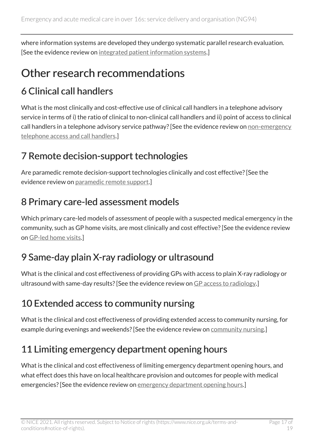where information systems are developed they undergo systematic parallel research evaluation. [See the evidence review on [integrated patient information systems](https://www.nice.org.uk/guidance/ng94/evidence/33.integrated-patient-information-systems-pdf-172397464672).]

# <span id="page-16-0"></span>Other research recommendations

# 6 Clinical call handlers

What is the most clinically and cost-effective use of clinical call handlers in a telephone advisory service in terms of i) the ratio of clinical to non-clinical call handlers and ii) point of access to clinical call handlers in a telephone advisory service pathway? [See the evidence review on [non-emergency](https://www.nice.org.uk/guidance/ng94/evidence/02.-nonemergency-telephone-access-and-call-handlers-pdf-4788818463)  [telephone access and call handlers](https://www.nice.org.uk/guidance/ng94/evidence/02.-nonemergency-telephone-access-and-call-handlers-pdf-4788818463).]

## 7 Remote decision-support technologies

Are paramedic remote decision-support technologies clinically and cost effective? [See the evidence review on [paramedic remote support.](https://www.nice.org.uk/guidance/ng94/evidence/04.paramedic-remote-support-pdf-4788818465)]

## 8 Primary care-led assessment models

Which primary care-led models of assessment of people with a suspected medical emergency in the community, such as GP home visits, are most clinically and cost effective? [See the evidence review on [GP-led home visits](https://www.nice.org.uk/guidance/ng94/evidence/06.gpled-home-visits-pdf-4788818467).]

# 9 Same-day plain X-ray radiology or ultrasound

What is the clinical and cost effectiveness of providing GPs with access to plain X-ray radiology or ultrasound with same-day results? [See the evidence review on [GP access to radiology](https://www.nice.org.uk/guidance/ng94/evidence/08.gp-access-to-radiology-pdf-4788818469).]

# 10 Extended access to community nursing

What is the clinical and cost effectiveness of providing extended access to community nursing, for example during evenings and weekends? [See the evidence review on [community nursing.](https://www.nice.org.uk/guidance/ng94/evidence/09.community-nursing-pdf-172397464596)]

# 11 Limiting emergency department opening hours

What is the clinical and cost effectiveness of limiting emergency department opening hours, and what effect does this have on local healthcare provision and outcomes for people with medical emergencies? [See the evidence review on [emergency department opening hours.](https://www.nice.org.uk/guidance/ng94/evidence/16.emergency-department-opening-hours-pdf-172397464603)]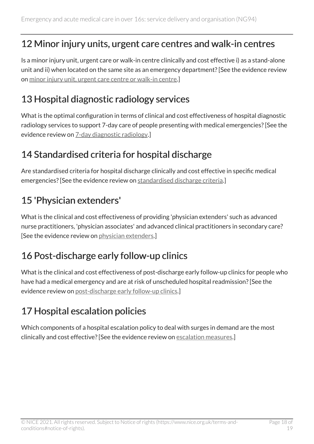### 12 Minor injury units, urgent care centres and walk-in centres

Is a minor injury unit, urgent care or walk-in centre clinically and cost effective i) as a stand-alone unit and ii) when located on the same site as an emergency department? [See the evidence review on [minor injury unit, urgent care centre or walk-in centre](https://www.nice.org.uk/guidance/ng94/evidence/18.minor-injury-unit-urgent-care-centre-or-walkin-centre-pdf-172397464605).]

### 13 Hospital diagnostic radiology services

What is the optimal configuration in terms of clinical and cost effectiveness of hospital diagnostic radiology services to support 7-day care of people presenting with medical emergencies? [See the evidence review on [7-day diagnostic radiology](https://www.nice.org.uk/guidance/ng94/evidence/22.7day-diagnostic-radiology-pdf-172397464635).]

## 14 Standardised criteria for hospital discharge

Are standardised criteria for hospital discharge clinically and cost effective in specific medical emergencies? [See the evidence review on [standardised discharge criteria.](https://www.nice.org.uk/guidance/ng94/evidence/36.standardised-discharge-criteria-pdf-172397464675)]

## 15 'Physician extenders'

What is the clinical and cost effectiveness of providing 'physician extenders' such as advanced nurse practitioners, 'physician associates' and advanced clinical practitioners in secondary care? [See the evidence review on [physician extenders](https://www.nice.org.uk/guidance/ng94/evidence/20.physician-extenders-pdf-172397464633).]

# 16 Post-discharge early follow-up clinics

What is the clinical and cost effectiveness of post-discharge early follow-up clinics for people who have had a medical emergency and are at risk of unscheduled hospital readmission? [See the evidence review on [post-discharge early follow-up clinics](https://www.nice.org.uk/guidance/ng94/evidence/37.postdischarge-early-followup-clinics-pdf-172397464676).]

# 17 Hospital escalation policies

Which components of a hospital escalation policy to deal with surges in demand are the most clinically and cost effective? [See the evidence review on [escalation measures](https://www.nice.org.uk/guidance/ng94/evidence/40.escalation-measures-pdf-172397464705).]